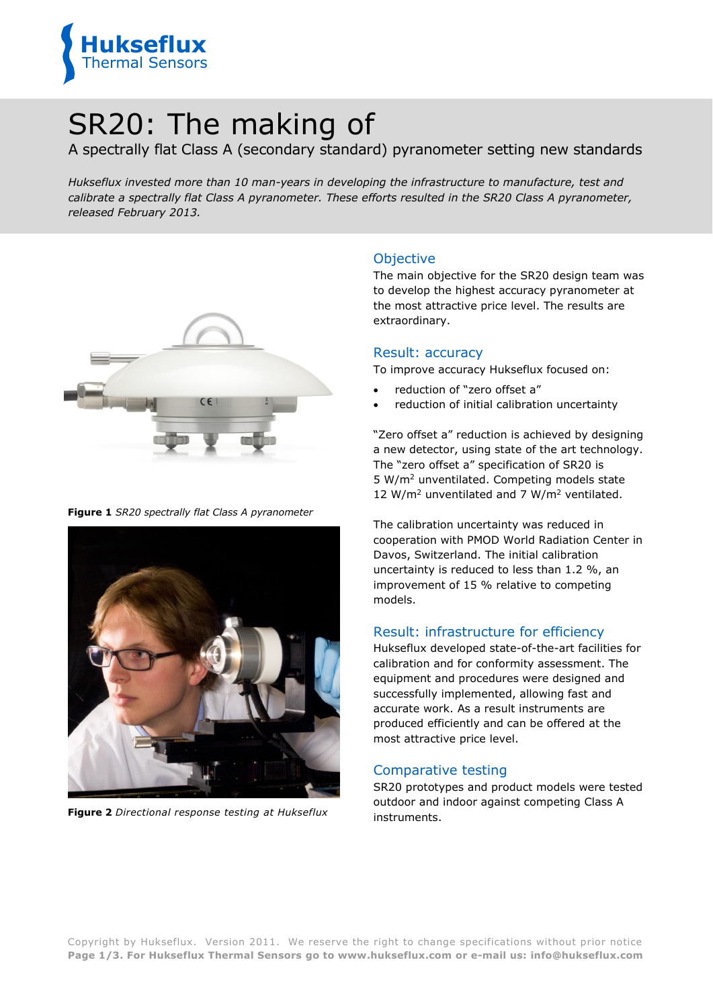

# SR20: The making of

A spectrally flat Class A (secondary standard) pyranometer setting new standards

*Hukseflux invested more than 10 man-years in developing the infrastructure to manufacture, test and calibrate a spectrally flat Class A pyranometer. These efforts resulted in the SR20 Class A pyranometer, released February 2013.*



**Figure 1** *SR20 spectrally flat Class A pyranometer*



**Figure 2** *Directional response testing at Hukseflux*

# Objective

The main objective for the SR20 design team was to develop the highest accuracy pyranometer at the most attractive price level. The results are extraordinary.

#### Result: accuracy

To improve accuracy Hukseflux focused on:

- reduction of "zero offset a"
- reduction of initial calibration uncertainty

"Zero offset a" reduction is achieved by designing a new detector, using state of the art technology. The "zero offset a" specification of SR20 is 5 W/m<sup>2</sup> unventilated. Competing models state 12 W/m<sup>2</sup> unventilated and 7 W/m<sup>2</sup> ventilated.

The calibration uncertainty was reduced in cooperation with PMOD World Radiation Center in Davos, Switzerland. The initial calibration uncertainty is reduced to less than 1.2 %, an improvement of 15 % relative to competing models.

### Result: infrastructure for efficiency

Hukseflux developed state-of-the-art facilities for calibration and for conformity assessment. The equipment and procedures were designed and successfully implemented, allowing fast and accurate work. As a result instruments are produced efficiently and can be offered at the most attractive price level.

#### Comparative testing

SR20 prototypes and product models were tested outdoor and indoor against competing Class A instruments.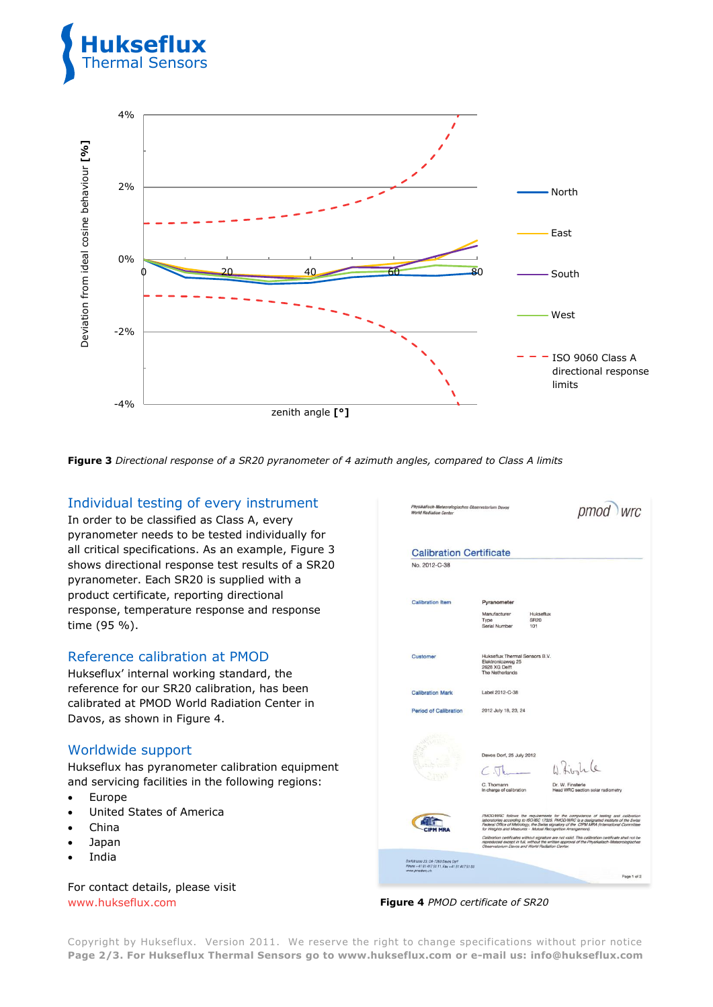



**Figure 3** *Directional response of a SR20 pyranometer of 4 azimuth angles, compared to Class A limits*

# Individual testing of every instrument

In order to be classified as Class A, every pyranometer needs to be tested individually for all critical specifications. As an example, Figure 3 shows directional response test results of a SR20 pyranometer. Each SR20 is supplied with a product certificate, reporting directional response, temperature response and response time (95 %).

#### Reference calibration at PMOD

Hukseflux' internal working standard, the reference for our SR20 calibration, has been calibrated at PMOD World Radiation Center in Davos, as shown in Figure 4.

### Worldwide support

Hukseflux has pyranometer calibration equipment and servicing facilities in the following regions:

- Europe
- United States of America
- China
- Japan
- India

For contact details, please visit

| <b>Calibration Certificate</b><br>No. 2012-C-38 |                                                                                         |                                                                                                                                                                                                                                                                                                                                                                                                                                                                                                                                               |
|-------------------------------------------------|-----------------------------------------------------------------------------------------|-----------------------------------------------------------------------------------------------------------------------------------------------------------------------------------------------------------------------------------------------------------------------------------------------------------------------------------------------------------------------------------------------------------------------------------------------------------------------------------------------------------------------------------------------|
|                                                 |                                                                                         |                                                                                                                                                                                                                                                                                                                                                                                                                                                                                                                                               |
| <b>Calibration Item</b>                         | Pyranometer                                                                             |                                                                                                                                                                                                                                                                                                                                                                                                                                                                                                                                               |
|                                                 | Manufacturer<br>Type<br>Serial Number                                                   | Hukseflux<br>SR20<br>101                                                                                                                                                                                                                                                                                                                                                                                                                                                                                                                      |
| Customer                                        | Hukseflux Thermal Sensors B.V.<br>Elektronicaweg 25<br>2628 XG Delft<br>The Netherlands |                                                                                                                                                                                                                                                                                                                                                                                                                                                                                                                                               |
| <b>Calibration Mark</b>                         | Label 2012-C-38                                                                         |                                                                                                                                                                                                                                                                                                                                                                                                                                                                                                                                               |
| <b>Period of Calibration</b>                    | 2012 July 18, 23, 24                                                                    |                                                                                                                                                                                                                                                                                                                                                                                                                                                                                                                                               |
|                                                 | Davos Dorf, 25 July 2012<br>C. Thomann<br>In charge of calibration                      | W. firstile<br>Dr. W. Finsterle<br>Head WRC section solar radiometry                                                                                                                                                                                                                                                                                                                                                                                                                                                                          |
|                                                 |                                                                                         | PMOD/WRC follows the requirements for the competence of testing and calibration<br>laboratories according to ISO/IEC 17025. PMOD/WRC is a designated institute of the Swiss<br>Federal Office of Metrology, the Swiss signatory of the CIPM MRA (International Committee<br>for Weights and Measures - Mutual Recognition Amangement).<br>Calibration certificates without signature are not valid. This calibration certificate shall not be<br>reproduced except in full, without the written approval of the Physikalisch-Meteorologisches |

[www.hukseflux.com](http://www.hukseflux.com/) **Figure 4** *PMOD certificate of SR20*